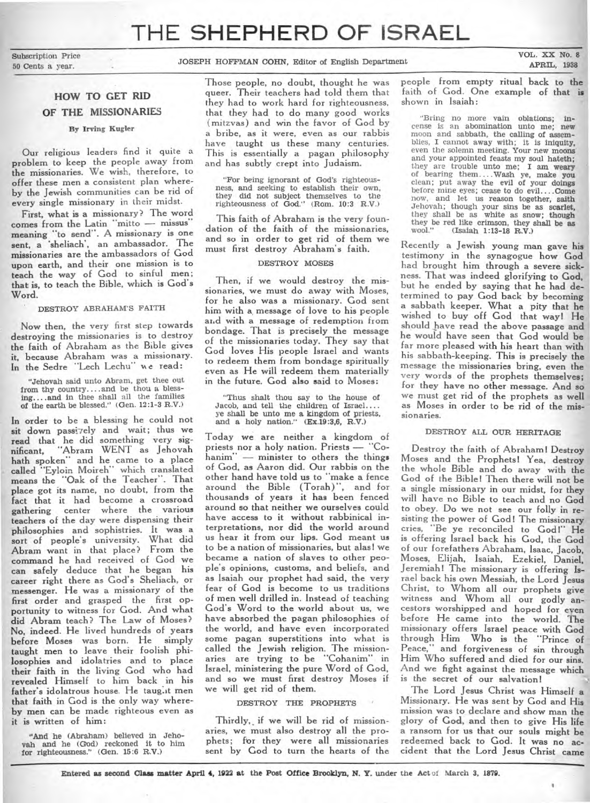# **THE SHEPHERD OF ISRAEL**

Subscription Price

50 Cents a year. JOSEPH HOFFMAN COHN, Editor of English Department

VOL. XX No. 8 APRIL, 1938

# **HOW TO GET RID OF THE MISSIONARIES**

# By Irving Kugler

Our religious leaders find it quite a problem to keep the people away from the missionaries. We wish, therefore, to offer these men a consistent plan whereby the Jewish communities can be rid of every single missionary in their midst.

First, what is a missionary? The word comes from the Latin "mitto - missus" meaning "to send". A missionary is one sent, a 'sheliach', an ambassador. The missionaries are the ambassadors of God upon earth, and their one mission is to teach the way of God to sinful men; that is, to teach the Bible, which **is** God's Word.

# DESTROY ABRAHAM'S FAITH

Now then, the very first step towards destroying the missionaries is to destroy the faith of Abraham as the Bible gives it, because Abraham was a missionary. In the Sedre "Lech Lechu" we read:

"Jehovah said unto Abram, get thee out, from thy country....and be thou a blessthg....and in thee shall all the families of the earth be blessed." (Gen. 12:1-3 R.V.)

In order to be a blessing he could not sit down passizely and wait; thus we read that he did something very significant, "Abram WENT as Jehovah bath spoken" and he came to a place called "Eyloin Moireh" which translated means the "Oak of the Teacher". That place got its name, no doubt, from the fact that it had become a crossroad gathering center where the various teachers of the day were dispensing their philosophies and sophistries. It was a sort of people's university. What did Abram want in that place? From the command he had received of God we can safely deduce that he began his career right there as God's Sheliach, or messenger. He was a missionary of the first order and grasped the first opportunity to witness for God. And what did Abram teach? The Law of Moses? No, indeed. He lived hundreds of years before Moses was born. He simply taught men to leave their foolish philosophies and idolatries and to place their faith in the living God who had revealed Himself to him back in his father's idolatrous house. He taught men that faith in God is the only way whereby men can be made righteous even as it is written of him:

"And he (Abraham) believed in Jehovah and he (God) reckoned it to him for righteousness." (Gen. 15:6 R.V.)

Those people, no doubt, thought he was queer. Their teachers had told them that they had to work hard for righteousness, that they had to do many good works (mitzvas) and win the favor of God by a bribe, as it were, even as our rabbis have taught us these many centuries. This is essentially a pagan philosophy and has subtly crept into Judaism.

"For being ignorant of God's righteousness, and seeking to establish their own, they did not subject themselves to the righteousness of God." (Rom. 10:3 R.V.)

This faith of Abraham is the very foundation of the faith of the missionaries, and so in order to get rid of them we must first destroy Abraham's faith.

#### DESTROY MOSES

Then, if we would destroy the missionaries, we must do away with Moses, for he also was a missionary. God sent him with a, message of love to his people arid with a message of redemption from bondage. That is precisely the message of the missionaries today. They say that God loves His people Israel and wants to redeem them from bondage spiritually even as He will redeem them materially in the future. God also said to Moses:

"Thus shalt thou say to the house of Jacob, and tell the children of Israel.... ye shall be unto me a kingdom of priests, and a holy nation." (Ex.19:3,6, R.V.)

Today we are neither a kingdom of priests nor a holy nation. Priests — "Cohanim" — minister to others the things of God, as Aaron did. Our rabbis on the other hand have told us to "make a fence around the Bible (Torah)", and for thousands of years it has been fenced around so that neither we ourselves could have access to it without rabbinical interpretations, nor did the world around us hear it from our lips. God meant **us**  to be a nation of missionaries, but alas! **we**  became a nation of slaves to other people's opinions, customs, and beliefs, and as Isaiah our prophet had said, the very fear of God is become to us traditions of men well drilled in. Instead of teaching God's Word to the world about us, we have absorbed the pagan philosophies of the world, and have even incorporated some pagan superstitions into what is called the Jewish religion. The missionaries are trying to be "Cohanim" in Israel, ministering the pure Word of God, and so we must first destroy Moses if we will get rid of them.

#### DESTROY THE PROPHETS

Thirdly, if we will be rid of missionaries, we must also destroy all the prophets; for they were all missionaries sent by God to turn the hearts of the people from empty ritual back to the faith of God. One example of that is shown in Isaiah:

"Bring no more vain oblations; incense is an abomination unto me; new moon and sabbath, the calling of assemblies, I cannot away with; it is iniquity, even the solemn meeting. Your new moons and your appointed feasts my soul hateth; they are trouble unto me; I am **weary**  of bearing them....Wash ye, make you clean; put away the evil of your doings before mine eyes; cease to do evil....Come now, and let us reason together, saith Jehovah; though your sins be as scarlet, they shall be as white as snow; **though**  they be red like crimson, they shall be **as**  (Isaiah 1:13-18 R.V.)

Recently a Jewish young man gave his testimony in the synagogue how God had brought him through a severe sickness. That was indeed glorifying to God, but he ended by saying that he had determined to pay God back by becoming a sabbath keeper. What a pity that he wished to buy off God that way! He should have read the above passage and he would have seen that God would be far more pleased with his heart than with his sabbath-keeping. This is precisely the message the missionaries bring, even the very words of the prophets themselves; for they have no other message. And so we must get rid of the prophets as well as Moses in order to be rid of the missionaries.

#### DESTROY ALL OUR HERITAGE

Destroy the faith of Abraham! Destroy Moses and the Prophets! Yea, destroy the whole Bible and do away with the God of the Bible! Then there will not **be**  a single missionary in our midst, for they will have no Bible to teach and no God to obey. Do we not see our folly in resisting the power of God! The missionary cries, "Be ye reconciled to God!" He is offering Israel back his God, the God of our forefathers Abraham, Isaac, Jacob, Moses, Elijah, Isaiah, Ezekiel, Daniel, Jeremiah! The missionary is offering Israel back his own Messiah, the Lord Jesus Christ, to Whom all our prophets give witness and Whom all our godly ancestors worshipped and hoped for even before He came into the world. The missionary offers Israel peace with God through Him Who is the "Prince of and forgiveness of sin through Him Who suffered and died for our sins. And we fight against the message which is the secret of our salvation!

The Lord Jesus Christ was Himself a Missionary. He was sent by God and His mission was to declare and show man the glory of God, and then to give His life a ransom for us that our souls might **be**  redeemed back to God. It was no accident that the Lord Jesus Christ came